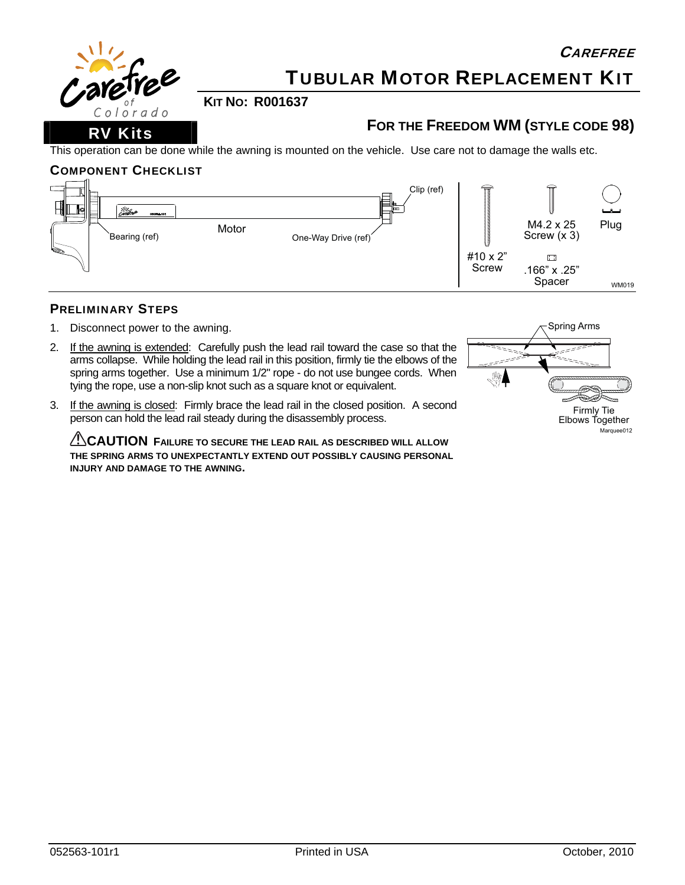

# TUBULAR MOTOR REPLACEMENT KIT

**KIT NO: R001637** 

## **FOR THE FREEDOM WM (STYLE CODE 98)**

This operation can be done while the awning is mounted on the vehicle. Use care not to damage the walls etc.

### COMPONENT CHECKLIST



### PRELIMINARY STEPS

- 1. Disconnect power to the awning.
- 2. If the awning is extended: Carefully push the lead rail toward the case so that the arms collapse. While holding the lead rail in this position, firmly tie the elbows of the spring arms together. Use a minimum 1/2" rope - do not use bungee cords. When tying the rope, use a non-slip knot such as a square knot or equivalent.



3. If the awning is closed: Firmly brace the lead rail in the closed position. A second person can hold the lead rail steady during the disassembly process.

**CAUTION FAILURE TO SECURE THE LEAD RAIL AS DESCRIBED WILL ALLOW THE SPRING ARMS TO UNEXPECTANTLY EXTEND OUT POSSIBLY CAUSING PERSONAL INJURY AND DAMAGE TO THE AWNING.**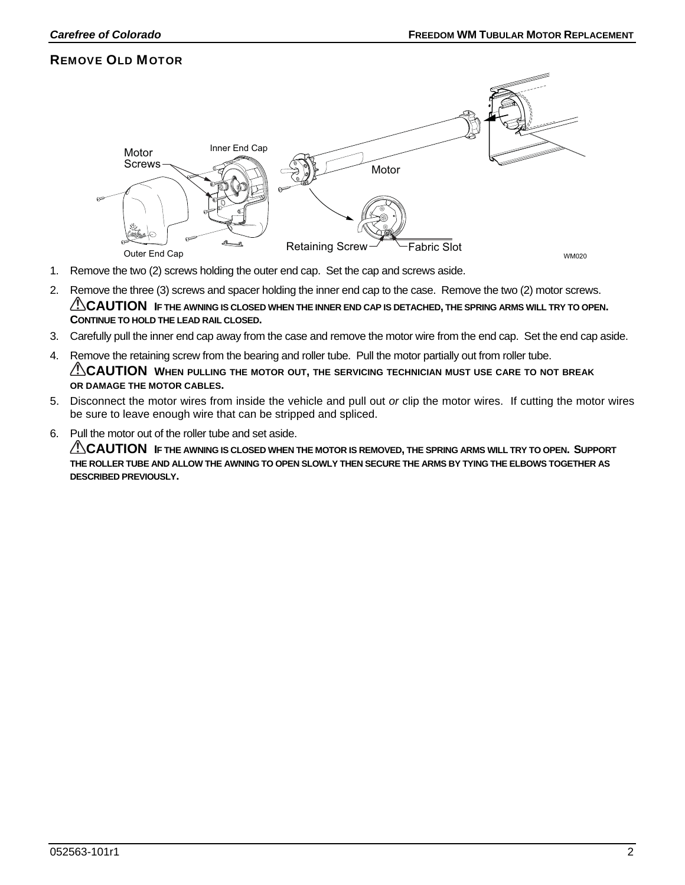### REMOVE OLD MOTOR



- 1. Remove the two (2) screws holding the outer end cap. Set the cap and screws aside.
- 2. Remove the three (3) screws and spacer holding the inner end cap to the case. Remove the two (2) motor screws. **CAUTION IF THE AWNING IS CLOSED WHEN THE INNER END CAP IS DETACHED, THE SPRING ARMS WILL TRY TO OPEN. CONTINUE TO HOLD THE LEAD RAIL CLOSED.**
- 3. Carefully pull the inner end cap away from the case and remove the motor wire from the end cap. Set the end cap aside.
- 4. Remove the retaining screw from the bearing and roller tube. Pull the motor partially out from roller tube. **CAUTION** WHEN PULLING THE MOTOR OUT, THE SERVICING TECHNICIAN MUST USE CARE TO NOT BREAK **OR DAMAGE THE MOTOR CABLES.**
- 5. Disconnect the motor wires from inside the vehicle and pull out *or* clip the motor wires. If cutting the motor wires be sure to leave enough wire that can be stripped and spliced.
- 6. Pull the motor out of the roller tube and set aside.

**CAUTION** IF THE AWNING IS CLOSED WHEN THE MOTOR IS REMOVED, THE SPRING ARMS WILL TRY TO OPEN. SUPPORT **THE ROLLER TUBE AND ALLOW THE AWNING TO OPEN SLOWLY THEN SECURE THE ARMS BY TYING THE ELBOWS TOGETHER AS DESCRIBED PREVIOUSLY.**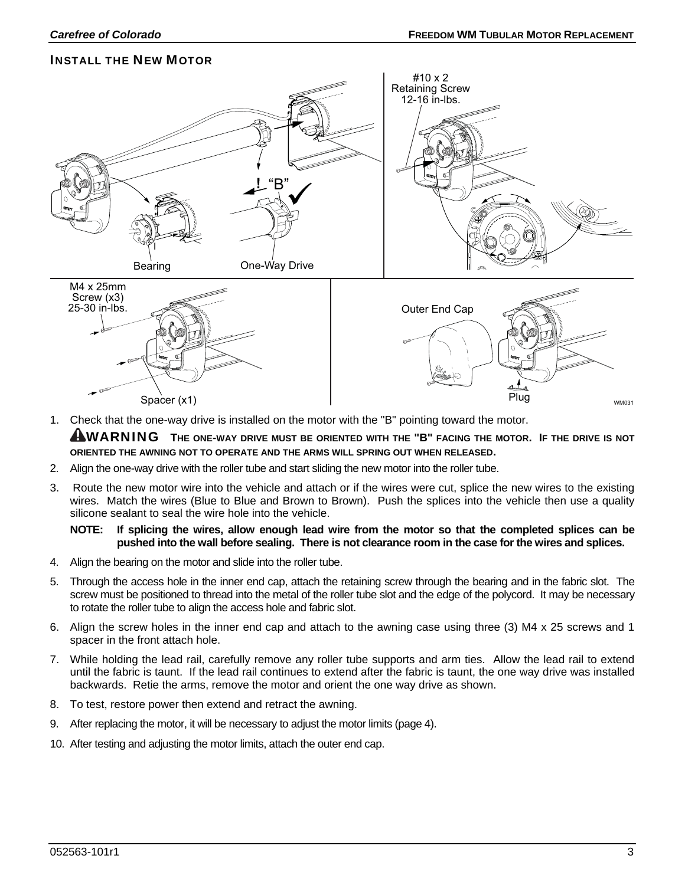### INSTALL THE NEW MOTOR



1. Check that the one-way drive is installed on the motor with the "B" pointing toward the motor.

**AWARNING** THE ONE-WAY DRIVE MUST BE ORIENTED WITH THE "B" FACING THE MOTOR. IF THE DRIVE IS NOT **ORIENTED THE AWNING NOT TO OPERATE AND THE ARMS WILL SPRING OUT WHEN RELEASED.** 

- 2. Align the one-way drive with the roller tube and start sliding the new motor into the roller tube.
- 3. Route the new motor wire into the vehicle and attach or if the wires were cut, splice the new wires to the existing wires. Match the wires (Blue to Blue and Brown to Brown). Push the splices into the vehicle then use a quality silicone sealant to seal the wire hole into the vehicle.

#### **NOTE: If splicing the wires, allow enough lead wire from the motor so that the completed splices can be pushed into the wall before sealing. There is not clearance room in the case for the wires and splices.**

- 4. Align the bearing on the motor and slide into the roller tube.
- 5. Through the access hole in the inner end cap, attach the retaining screw through the bearing and in the fabric slot. The screw must be positioned to thread into the metal of the roller tube slot and the edge of the polycord. It may be necessary to rotate the roller tube to align the access hole and fabric slot.
- 6. Align the screw holes in the inner end cap and attach to the awning case using three (3) M4 x 25 screws and 1 spacer in the front attach hole.
- 7. While holding the lead rail, carefully remove any roller tube supports and arm ties. Allow the lead rail to extend until the fabric is taunt. If the lead rail continues to extend after the fabric is taunt, the one way drive was installed backwards. Retie the arms, remove the motor and orient the one way drive as shown.
- 8. To test, restore power then extend and retract the awning.
- 9. After replacing the motor, it will be necessary to adjust the motor limits (page [4\)](#page-3-0).
- 10. After testing and adjusting the motor limits, attach the outer end cap.